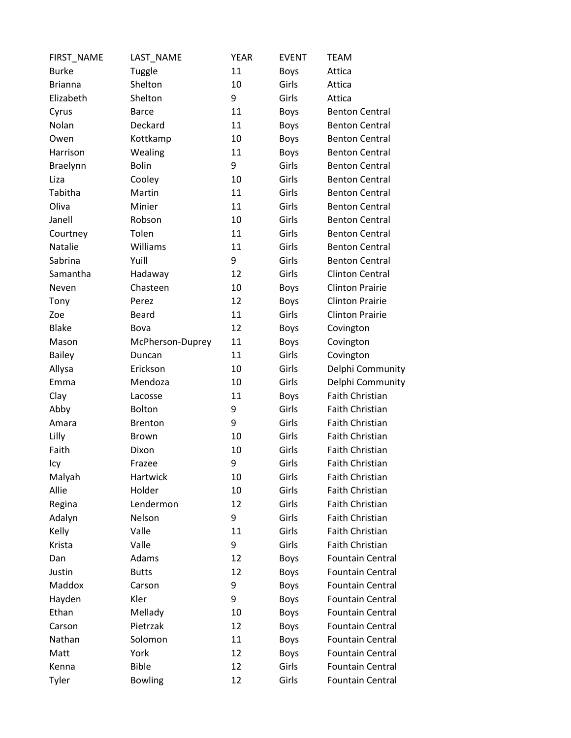| FIRST_NAME     | LAST_NAME        | <b>YEAR</b> | <b>EVENT</b> | <b>TEAM</b>             |
|----------------|------------------|-------------|--------------|-------------------------|
| <b>Burke</b>   | Tuggle           | 11          | <b>Boys</b>  | Attica                  |
| <b>Brianna</b> | Shelton          | 10          | Girls        | Attica                  |
| Elizabeth      | Shelton          | 9           | Girls        | Attica                  |
| Cyrus          | <b>Barce</b>     | 11          | <b>Boys</b>  | <b>Benton Central</b>   |
| Nolan          | Deckard          | 11          | <b>Boys</b>  | <b>Benton Central</b>   |
| Owen           | Kottkamp         | 10          | <b>Boys</b>  | <b>Benton Central</b>   |
| Harrison       | Wealing          | 11          | <b>Boys</b>  | <b>Benton Central</b>   |
| Braelynn       | <b>Bolin</b>     | 9           | Girls        | <b>Benton Central</b>   |
| Liza           | Cooley           | 10          | Girls        | <b>Benton Central</b>   |
| Tabitha        | Martin           | 11          | Girls        | <b>Benton Central</b>   |
| Oliva          | Minier           | 11          | Girls        | <b>Benton Central</b>   |
| Janell         | Robson           | 10          | Girls        | <b>Benton Central</b>   |
| Courtney       | Tolen            | 11          | Girls        | <b>Benton Central</b>   |
| Natalie        | Williams         | 11          | Girls        | <b>Benton Central</b>   |
| Sabrina        | Yuill            | 9           | Girls        | <b>Benton Central</b>   |
| Samantha       | Hadaway          | 12          | Girls        | <b>Clinton Central</b>  |
| Neven          | Chasteen         | 10          | <b>Boys</b>  | <b>Clinton Prairie</b>  |
| Tony           | Perez            | 12          | <b>Boys</b>  | <b>Clinton Prairie</b>  |
| Zoe            | Beard            | 11          | Girls        | <b>Clinton Prairie</b>  |
| <b>Blake</b>   | Bova             | 12          | <b>Boys</b>  | Covington               |
| Mason          | McPherson-Duprey | 11          | <b>Boys</b>  | Covington               |
| <b>Bailey</b>  | Duncan           | 11          | Girls        | Covington               |
| Allysa         | Erickson         | 10          | Girls        | Delphi Community        |
| Emma           | Mendoza          | 10          | Girls        | Delphi Community        |
| Clay           | Lacosse          | 11          | <b>Boys</b>  | Faith Christian         |
| Abby           | <b>Bolton</b>    | 9           | Girls        | Faith Christian         |
| Amara          | <b>Brenton</b>   | 9           | Girls        | <b>Faith Christian</b>  |
| Lilly          | <b>Brown</b>     | 10          | Girls        | Faith Christian         |
| Faith          | Dixon            | 10          | Girls        | Faith Christian         |
| Icy            | Frazee           | 9           | Girls        | Faith Christian         |
| Malyah         | Hartwick         | 10          | Girls        | <b>Faith Christian</b>  |
| Allie          | Holder           | 10          | Girls        | Faith Christian         |
| Regina         | Lendermon        | 12          | Girls        | Faith Christian         |
| Adalyn         | Nelson           | 9           | Girls        | <b>Faith Christian</b>  |
| Kelly          | Valle            | 11          | Girls        | Faith Christian         |
| Krista         | Valle            | 9           | Girls        | <b>Faith Christian</b>  |
| Dan            | Adams            | 12          | Boys         | <b>Fountain Central</b> |
| Justin         | <b>Butts</b>     | 12          | <b>Boys</b>  | <b>Fountain Central</b> |
| Maddox         | Carson           | 9           | <b>Boys</b>  | <b>Fountain Central</b> |
| Hayden         | Kler             | 9           | Boys         | <b>Fountain Central</b> |
| Ethan          | Mellady          | 10          | <b>Boys</b>  | <b>Fountain Central</b> |
| Carson         | Pietrzak         | 12          | <b>Boys</b>  | <b>Fountain Central</b> |
| Nathan         | Solomon          | 11          | <b>Boys</b>  | <b>Fountain Central</b> |
| Matt           | York             | 12          | <b>Boys</b>  | <b>Fountain Central</b> |
| Kenna          | <b>Bible</b>     | 12          | Girls        | <b>Fountain Central</b> |
| Tyler          | <b>Bowling</b>   | 12          | Girls        | <b>Fountain Central</b> |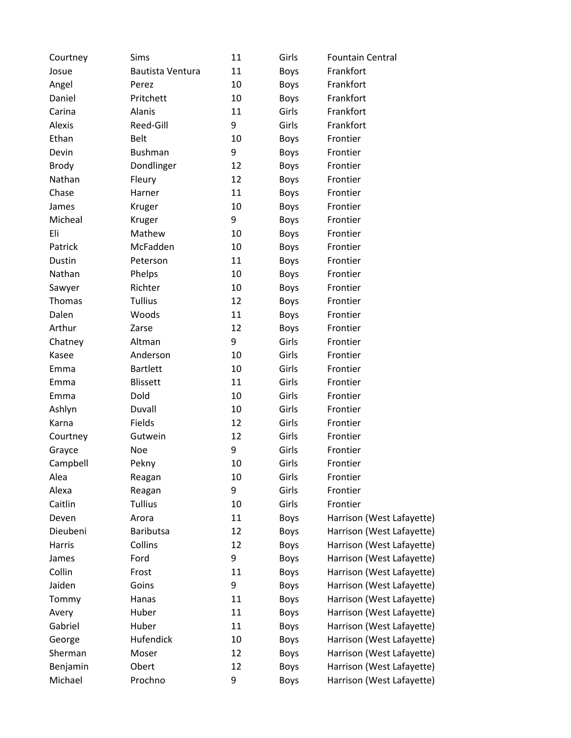| Courtney     | <b>Sims</b>      | 11 | Girls       | <b>Fountain Central</b>   |
|--------------|------------------|----|-------------|---------------------------|
| Josue        | Bautista Ventura | 11 | <b>Boys</b> | Frankfort                 |
| Angel        | Perez            | 10 | <b>Boys</b> | Frankfort                 |
| Daniel       | Pritchett        | 10 | <b>Boys</b> | Frankfort                 |
| Carina       | Alanis           | 11 | Girls       | Frankfort                 |
| Alexis       | Reed-Gill        | 9  | Girls       | Frankfort                 |
| Ethan        | <b>Belt</b>      | 10 | <b>Boys</b> | Frontier                  |
| Devin        | <b>Bushman</b>   | 9  | <b>Boys</b> | Frontier                  |
| <b>Brody</b> | Dondlinger       | 12 | <b>Boys</b> | Frontier                  |
| Nathan       | Fleury           | 12 | <b>Boys</b> | Frontier                  |
| Chase        | Harner           | 11 | <b>Boys</b> | Frontier                  |
| James        | Kruger           | 10 | <b>Boys</b> | Frontier                  |
| Micheal      | Kruger           | 9  | <b>Boys</b> | Frontier                  |
| Eli          | Mathew           | 10 | <b>Boys</b> | Frontier                  |
| Patrick      | McFadden         | 10 | <b>Boys</b> | Frontier                  |
| Dustin       | Peterson         | 11 | <b>Boys</b> | Frontier                  |
| Nathan       | Phelps           | 10 | <b>Boys</b> | Frontier                  |
| Sawyer       | Richter          | 10 | <b>Boys</b> | Frontier                  |
| Thomas       | <b>Tullius</b>   | 12 | <b>Boys</b> | Frontier                  |
| Dalen        | Woods            | 11 | <b>Boys</b> | Frontier                  |
| Arthur       | Zarse            | 12 | <b>Boys</b> | Frontier                  |
| Chatney      | Altman           | 9  | Girls       | Frontier                  |
| Kasee        | Anderson         | 10 | Girls       | Frontier                  |
| Emma         | <b>Bartlett</b>  | 10 | Girls       | Frontier                  |
| Emma         | <b>Blissett</b>  | 11 | Girls       | Frontier                  |
| Emma         | Dold             | 10 | Girls       | Frontier                  |
| Ashlyn       | Duvall           | 10 | Girls       | Frontier                  |
| Karna        | Fields           | 12 | Girls       | Frontier                  |
| Courtney     | Gutwein          | 12 | Girls       | Frontier                  |
| Grayce       | Noe              | 9  | Girls       | Frontier                  |
| Campbell     | Pekny            | 10 | Girls       | Frontier                  |
| Alea         | Reagan           | 10 | Girls       | Frontier                  |
| Alexa        | Reagan           | 9  | Girls       | Frontier                  |
| Caitlin      | <b>Tullius</b>   | 10 | Girls       | Frontier                  |
| Deven        | Arora            | 11 | <b>Boys</b> | Harrison (West Lafayette) |
| Dieubeni     | <b>Baributsa</b> | 12 | <b>Boys</b> | Harrison (West Lafayette) |
| Harris       | Collins          | 12 | <b>Boys</b> | Harrison (West Lafayette) |
| James        | Ford             | 9  | <b>Boys</b> | Harrison (West Lafayette) |
| Collin       | Frost            | 11 | <b>Boys</b> | Harrison (West Lafayette) |
| Jaiden       | Goins            | 9  | <b>Boys</b> | Harrison (West Lafayette) |
| Tommy        | Hanas            | 11 | <b>Boys</b> | Harrison (West Lafayette) |
| Avery        | Huber            | 11 | <b>Boys</b> | Harrison (West Lafayette) |
| Gabriel      | Huber            | 11 | <b>Boys</b> | Harrison (West Lafayette) |
| George       | Hufendick        | 10 | <b>Boys</b> | Harrison (West Lafayette) |
| Sherman      | Moser            | 12 | <b>Boys</b> | Harrison (West Lafayette) |
| Benjamin     | Obert            | 12 | <b>Boys</b> | Harrison (West Lafayette) |
| Michael      | Prochno          | 9  | <b>Boys</b> | Harrison (West Lafayette) |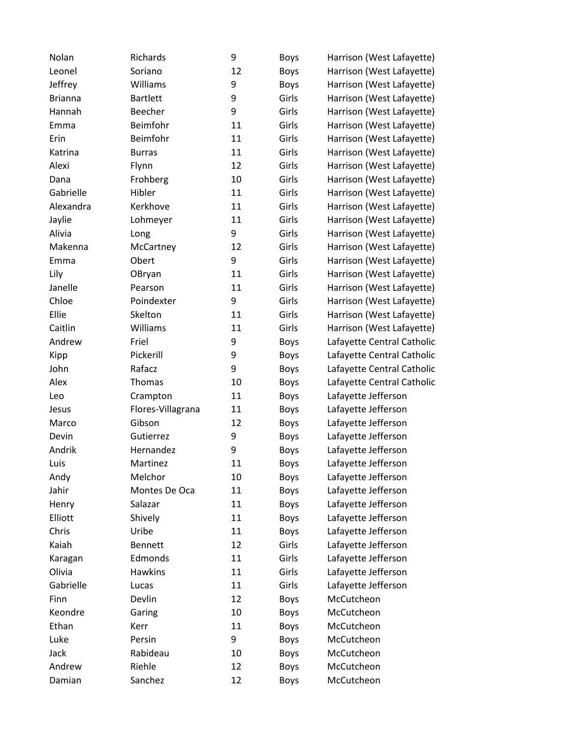| Nolan          | Richards          | 9  | <b>Boys</b> | Harrison (West Lafayette)  |
|----------------|-------------------|----|-------------|----------------------------|
| Leonel         | Soriano           | 12 | <b>Boys</b> | Harrison (West Lafayette)  |
| Jeffrey        | Williams          | 9  | <b>Boys</b> | Harrison (West Lafayette)  |
| <b>Brianna</b> | <b>Bartlett</b>   | 9  | Girls       | Harrison (West Lafayette)  |
| Hannah         | Beecher           | 9  | Girls       | Harrison (West Lafayette)  |
| Emma           | Beimfohr          | 11 | Girls       | Harrison (West Lafayette)  |
| Erin           | Beimfohr          | 11 | Girls       | Harrison (West Lafayette)  |
| Katrina        | <b>Burras</b>     | 11 | Girls       | Harrison (West Lafayette)  |
| Alexi          | Flynn             | 12 | Girls       | Harrison (West Lafayette)  |
| Dana           | Frohberg          | 10 | Girls       | Harrison (West Lafayette)  |
| Gabrielle      | Hibler            | 11 | Girls       | Harrison (West Lafayette)  |
| Alexandra      | Kerkhove          | 11 | Girls       | Harrison (West Lafayette)  |
| Jaylie         | Lohmeyer          | 11 | Girls       | Harrison (West Lafayette)  |
| Alivia         | Long              | 9  | Girls       | Harrison (West Lafayette)  |
| Makenna        | McCartney         | 12 | Girls       | Harrison (West Lafayette)  |
| Emma           | Obert             | 9  | Girls       | Harrison (West Lafayette)  |
| Lily           | OBryan            | 11 | Girls       | Harrison (West Lafayette)  |
| Janelle        | Pearson           | 11 | Girls       | Harrison (West Lafayette)  |
| Chloe          | Poindexter        | 9  | Girls       | Harrison (West Lafayette)  |
| Ellie          | Skelton           | 11 | Girls       | Harrison (West Lafayette)  |
| Caitlin        | Williams          | 11 | Girls       | Harrison (West Lafayette)  |
| Andrew         | Friel             | 9  | <b>Boys</b> | Lafayette Central Catholic |
| Kipp           | Pickerill         | 9  | <b>Boys</b> | Lafayette Central Catholic |
| John           | Rafacz            | 9  | <b>Boys</b> | Lafayette Central Catholic |
| Alex           | Thomas            | 10 | <b>Boys</b> | Lafayette Central Catholic |
| Leo            | Crampton          | 11 | <b>Boys</b> | Lafayette Jefferson        |
| Jesus          | Flores-Villagrana | 11 | <b>Boys</b> | Lafayette Jefferson        |
| Marco          | Gibson            | 12 | <b>Boys</b> | Lafayette Jefferson        |
| Devin          | Gutierrez         | 9  | <b>Boys</b> | Lafayette Jefferson        |
| Andrik         | Hernandez         | 9  | <b>Boys</b> | Lafayette Jefferson        |
| Luis           | Martinez          | 11 | <b>Boys</b> | Lafayette Jefferson        |
| Andy           | Melchor           | 10 | <b>Boys</b> | Lafayette Jefferson        |
| Jahir          | Montes De Oca     | 11 | <b>Boys</b> | Lafayette Jefferson        |
| Henry          | Salazar           | 11 | <b>Boys</b> | Lafayette Jefferson        |
| Elliott        | Shively           | 11 | <b>Boys</b> | Lafayette Jefferson        |
| Chris          | Uribe             | 11 | <b>Boys</b> | Lafayette Jefferson        |
| Kaiah          | <b>Bennett</b>    | 12 | Girls       | Lafayette Jefferson        |
| Karagan        | Edmonds           | 11 | Girls       | Lafayette Jefferson        |
| Olivia         | Hawkins           | 11 | Girls       | Lafayette Jefferson        |
| Gabrielle      | Lucas             | 11 | Girls       | Lafayette Jefferson        |
| Finn           | Devlin            | 12 | <b>Boys</b> | McCutcheon                 |
| Keondre        | Garing            | 10 | <b>Boys</b> | McCutcheon                 |
| Ethan          | Kerr              | 11 | Boys        | McCutcheon                 |
| Luke           | Persin            | 9  | <b>Boys</b> | McCutcheon                 |
| Jack           | Rabideau          | 10 | <b>Boys</b> | McCutcheon                 |
| Andrew         | Riehle            | 12 | <b>Boys</b> | McCutcheon                 |
| Damian         | Sanchez           | 12 | <b>Boys</b> | McCutcheon                 |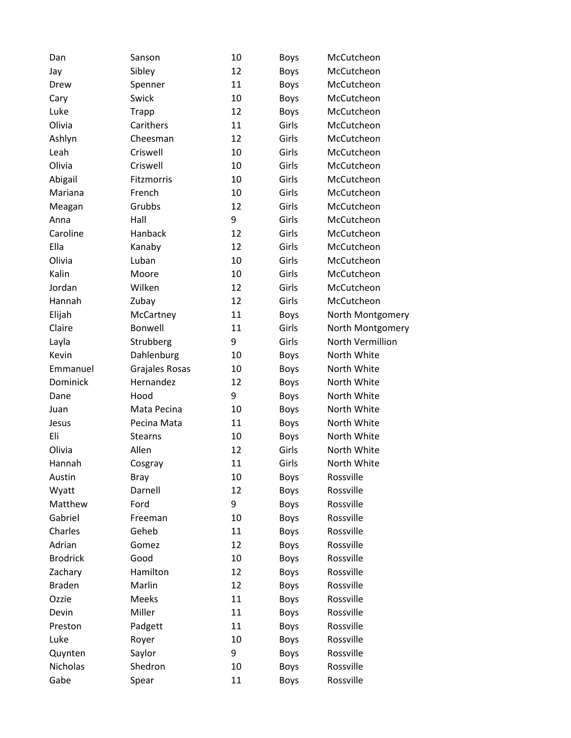| Dan             | Sanson         | 10 | <b>Boys</b> | McCutcheon       |
|-----------------|----------------|----|-------------|------------------|
| Jay             | Sibley         | 12 | <b>Boys</b> | McCutcheon       |
| Drew            | Spenner        | 11 | Boys        | McCutcheon       |
| Cary            | Swick          | 10 | Boys        | McCutcheon       |
| Luke            | Trapp          | 12 | Boys        | McCutcheon       |
| Olivia          | Carithers      | 11 | Girls       | McCutcheon       |
| Ashlyn          | Cheesman       | 12 | Girls       | McCutcheon       |
| Leah            | Criswell       | 10 | Girls       | McCutcheon       |
| Olivia          | Criswell       | 10 | Girls       | McCutcheon       |
| Abigail         | Fitzmorris     | 10 | Girls       | McCutcheon       |
| Mariana         | French         | 10 | Girls       | McCutcheon       |
| Meagan          | Grubbs         | 12 | Girls       | McCutcheon       |
| Anna            | Hall           | 9  | Girls       | McCutcheon       |
| Caroline        | Hanback        | 12 | Girls       | McCutcheon       |
| Ella            | Kanaby         | 12 | Girls       | McCutcheon       |
| Olivia          | Luban          | 10 | Girls       | McCutcheon       |
| Kalin           | Moore          | 10 | Girls       | McCutcheon       |
| Jordan          | Wilken         | 12 | Girls       | McCutcheon       |
| Hannah          | Zubay          | 12 | Girls       | McCutcheon       |
| Elijah          | McCartney      | 11 | <b>Boys</b> | North Montgomery |
| Claire          | Bonwell        | 11 | Girls       | North Montgomery |
| Layla           | Strubberg      | 9  | Girls       | North Vermillion |
| Kevin           | Dahlenburg     | 10 | <b>Boys</b> | North White      |
| Emmanuel        | Grajales Rosas | 10 | <b>Boys</b> | North White      |
| Dominick        | Hernandez      | 12 | Boys        | North White      |
| Dane            | Hood           | 9  | <b>Boys</b> | North White      |
| Juan            | Mata Pecina    | 10 | <b>Boys</b> | North White      |
| Jesus           | Pecina Mata    | 11 | <b>Boys</b> | North White      |
| Eli             | <b>Stearns</b> | 10 | <b>Boys</b> | North White      |
| Olivia          | Allen          | 12 | Girls       | North White      |
| Hannah          | Cosgray        | 11 | Girls       | North White      |
| Austin          | <b>Bray</b>    | 10 | <b>Boys</b> | Rossville        |
| Wyatt           | Darnell        | 12 | Boys        | Rossville        |
| Matthew         | Ford           | 9  | Boys        | Rossville        |
| Gabriel         | Freeman        | 10 | Boys        | Rossville        |
| Charles         | Geheb          | 11 | <b>Boys</b> | Rossville        |
| Adrian          | Gomez          | 12 | Boys        | Rossville        |
| <b>Brodrick</b> | Good           | 10 | <b>Boys</b> | Rossville        |
| Zachary         | Hamilton       | 12 | Boys        | Rossville        |
| <b>Braden</b>   | Marlin         | 12 | Boys        | Rossville        |
| Ozzie           | Meeks          | 11 | <b>Boys</b> | Rossville        |
| Devin           | Miller         | 11 | <b>Boys</b> | Rossville        |
| Preston         | Padgett        | 11 | Boys        | Rossville        |
| Luke            | Royer          | 10 | Boys        | Rossville        |
| Quynten         | Saylor         | 9  | Boys        | Rossville        |
| Nicholas        | Shedron        | 10 | <b>Boys</b> | Rossville        |
| Gabe            | Spear          | 11 | Boys        | Rossville        |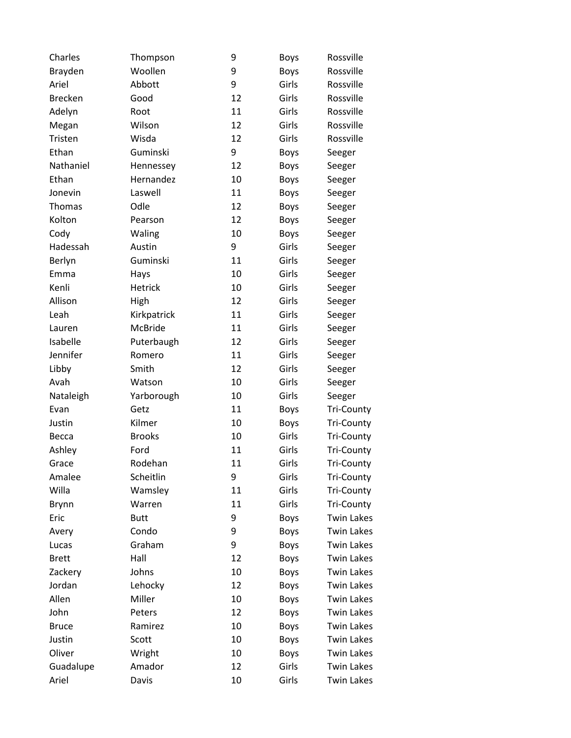| Charles        | Thompson       | 9  | <b>Boys</b> | Rossville         |
|----------------|----------------|----|-------------|-------------------|
| Brayden        | Woollen        | 9  | <b>Boys</b> | Rossville         |
| Ariel          | Abbott         | 9  | Girls       | Rossville         |
| <b>Brecken</b> | Good           | 12 | Girls       | Rossville         |
| Adelyn         | Root           | 11 | Girls       | Rossville         |
| Megan          | Wilson         | 12 | Girls       | Rossville         |
| Tristen        | Wisda          | 12 | Girls       | Rossville         |
| Ethan          | Guminski       | 9  | <b>Boys</b> | Seeger            |
| Nathaniel      | Hennessey      | 12 | <b>Boys</b> | Seeger            |
| Ethan          | Hernandez      | 10 | <b>Boys</b> | Seeger            |
| Jonevin        | Laswell        | 11 | <b>Boys</b> | Seeger            |
| Thomas         | Odle           | 12 | <b>Boys</b> | Seeger            |
| Kolton         | Pearson        | 12 | <b>Boys</b> | Seeger            |
| Cody           | Waling         | 10 | <b>Boys</b> | Seeger            |
| Hadessah       | Austin         | 9  | Girls       | Seeger            |
| Berlyn         | Guminski       | 11 | Girls       | Seeger            |
| Emma           | Hays           | 10 | Girls       | Seeger            |
| Kenli          | <b>Hetrick</b> | 10 | Girls       | Seeger            |
| Allison        | High           | 12 | Girls       | Seeger            |
| Leah           | Kirkpatrick    | 11 | Girls       | Seeger            |
| Lauren         | <b>McBride</b> | 11 | Girls       | Seeger            |
| Isabelle       | Puterbaugh     | 12 | Girls       | Seeger            |
| Jennifer       | Romero         | 11 | Girls       | Seeger            |
| Libby          | Smith          | 12 | Girls       | Seeger            |
| Avah           | Watson         | 10 | Girls       | Seeger            |
| Nataleigh      | Yarborough     | 10 | Girls       | Seeger            |
| Evan           | Getz           | 11 | <b>Boys</b> | <b>Tri-County</b> |
| Justin         | Kilmer         | 10 | <b>Boys</b> | <b>Tri-County</b> |
| Becca          | <b>Brooks</b>  | 10 | Girls       | <b>Tri-County</b> |
| Ashley         | Ford           | 11 | Girls       | <b>Tri-County</b> |
| Grace          | Rodehan        | 11 | Girls       | <b>Tri-County</b> |
| Amalee         | Scheitlin      | 9  | Girls       | <b>Tri-County</b> |
| Willa          | Wamsley        | 11 | Girls       | <b>Tri-County</b> |
| <b>Brynn</b>   | Warren         | 11 | Girls       | <b>Tri-County</b> |
| Eric           | <b>Butt</b>    | 9  | <b>Boys</b> | <b>Twin Lakes</b> |
| Avery          | Condo          | 9  | <b>Boys</b> | <b>Twin Lakes</b> |
| Lucas          | Graham         | 9  | <b>Boys</b> | <b>Twin Lakes</b> |
| <b>Brett</b>   | Hall           | 12 | <b>Boys</b> | <b>Twin Lakes</b> |
| Zackery        | Johns          | 10 | <b>Boys</b> | <b>Twin Lakes</b> |
| Jordan         | Lehocky        | 12 | <b>Boys</b> | <b>Twin Lakes</b> |
| Allen          | Miller         | 10 | <b>Boys</b> | <b>Twin Lakes</b> |
| John           | Peters         | 12 | <b>Boys</b> | <b>Twin Lakes</b> |
| <b>Bruce</b>   | Ramirez        | 10 | <b>Boys</b> | <b>Twin Lakes</b> |
| Justin         | Scott          | 10 | <b>Boys</b> | <b>Twin Lakes</b> |
| Oliver         | Wright         | 10 | <b>Boys</b> | <b>Twin Lakes</b> |
| Guadalupe      | Amador         | 12 | Girls       | <b>Twin Lakes</b> |
| Ariel          | Davis          | 10 | Girls       | <b>Twin Lakes</b> |